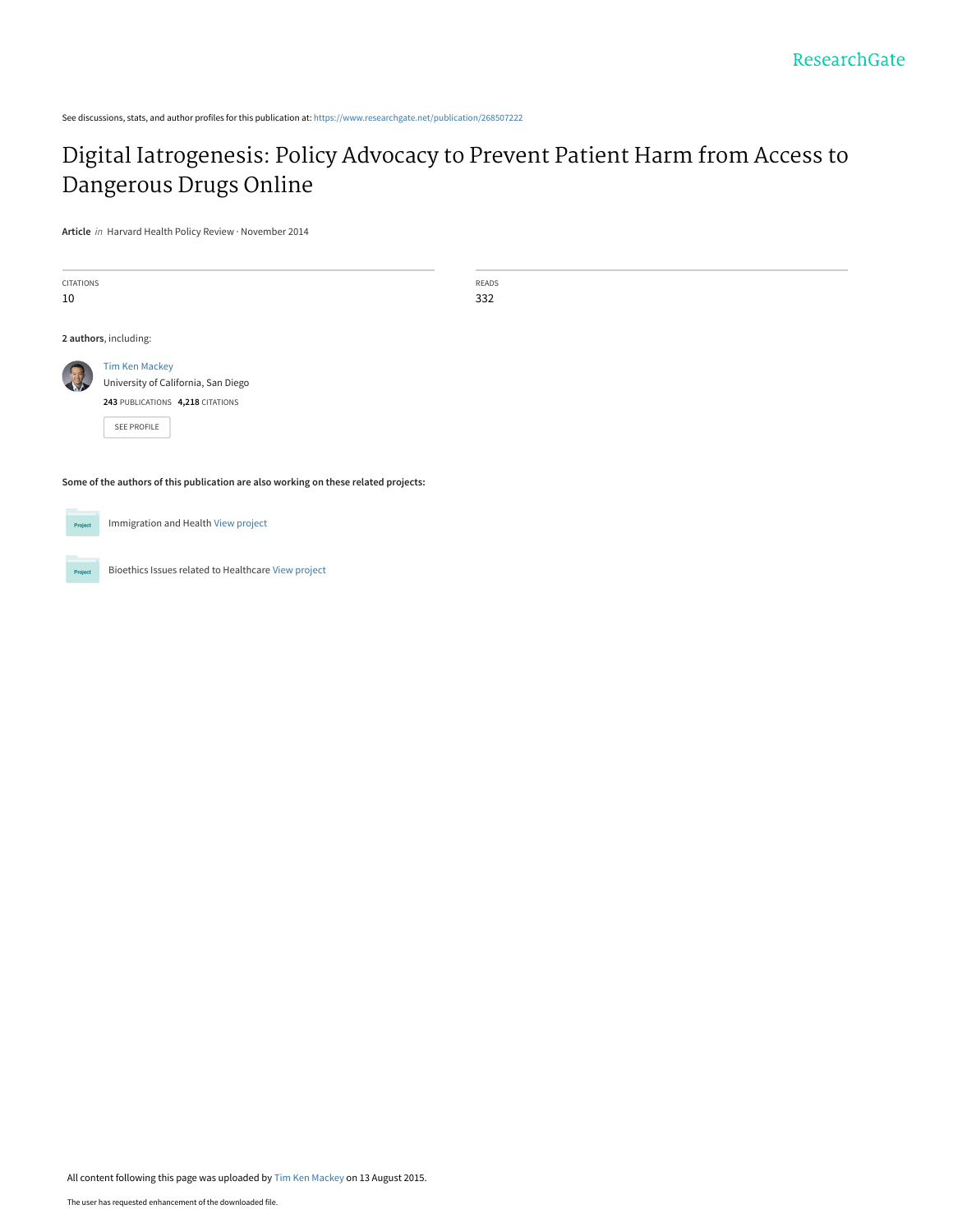See discussions, stats, and author profiles for this publication at: [https://www.researchgate.net/publication/268507222](https://www.researchgate.net/publication/268507222_Digital_Iatrogenesis_Policy_Advocacy_to_Prevent_Patient_Harm_from_Access_to_Dangerous_Drugs_Online?enrichId=rgreq-f7c9266e910c5430fe6178ef7eeef64a-XXX&enrichSource=Y292ZXJQYWdlOzI2ODUwNzIyMjtBUzoyNjIwOTc3NTM4NjYyNDFAMTQzOTUwMDM4Mjc1MA%3D%3D&el=1_x_2&_esc=publicationCoverPdf)

# [Digital Iatrogenesis: Policy Advocacy to Prevent Patient Harm from Access to](https://www.researchgate.net/publication/268507222_Digital_Iatrogenesis_Policy_Advocacy_to_Prevent_Patient_Harm_from_Access_to_Dangerous_Drugs_Online?enrichId=rgreq-f7c9266e910c5430fe6178ef7eeef64a-XXX&enrichSource=Y292ZXJQYWdlOzI2ODUwNzIyMjtBUzoyNjIwOTc3NTM4NjYyNDFAMTQzOTUwMDM4Mjc1MA%3D%3D&el=1_x_3&_esc=publicationCoverPdf) Dangerous Drugs Online

**Article** in Harvard Health Policy Review · November 2014

| <b>CITATIONS</b><br>10                                                              | <b>READS</b><br>332 |  |
|-------------------------------------------------------------------------------------|---------------------|--|
| 2 authors, including:                                                               |                     |  |
| <b>Tim Ken Mackey</b><br>University of California, San Diego                        |                     |  |
| 243 PUBLICATIONS 4,218 CITATIONS                                                    |                     |  |
| SEE PROFILE                                                                         |                     |  |
|                                                                                     |                     |  |
| Some of the authors of this publication are also working on these related projects: |                     |  |

Immigration and Health [View project](https://www.researchgate.net/project/Immigration-and-Health?enrichId=rgreq-f7c9266e910c5430fe6178ef7eeef64a-XXX&enrichSource=Y292ZXJQYWdlOzI2ODUwNzIyMjtBUzoyNjIwOTc3NTM4NjYyNDFAMTQzOTUwMDM4Mjc1MA%3D%3D&el=1_x_9&_esc=publicationCoverPdf) Project

Bioethics Issues related to Healthcare [View project](https://www.researchgate.net/project/Bioethics-Issues-related-to-Healthcare?enrichId=rgreq-f7c9266e910c5430fe6178ef7eeef64a-XXX&enrichSource=Y292ZXJQYWdlOzI2ODUwNzIyMjtBUzoyNjIwOTc3NTM4NjYyNDFAMTQzOTUwMDM4Mjc1MA%3D%3D&el=1_x_9&_esc=publicationCoverPdf) Project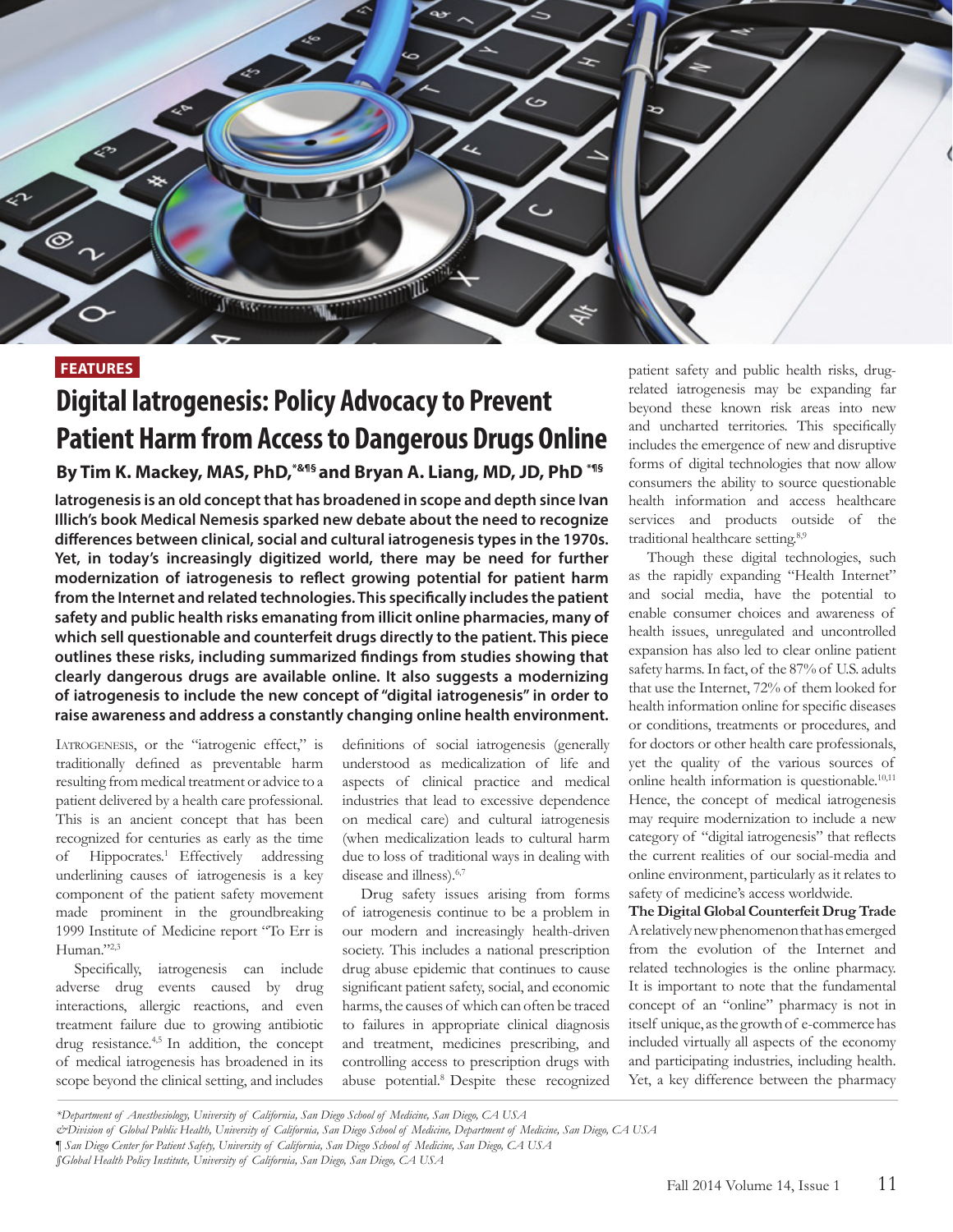

### **FEATURES**

# **Digital Iatrogenesis: Policy Advocacy to Prevent Patient Harm from Access to Dangerous Drugs Online**

### **By Tim K. Mackey, MAS, PhD,\*&¶§ and Bryan A. Liang, MD, JD, PhD \*¶§**

**Iatrogenesis is an old concept that has broadened in scope and depth since Ivan Illich's book Medical Nemesis sparked new debate about the need to recognize differences between clinical, social and cultural iatrogenesis types in the 1970s. Yet, in today's increasingly digitized world, there may be need for further modernization of iatrogenesis to reflect growing potential for patient harm from the Internet and related technologies. This specifically includes the patient safety and public health risks emanating from illicit online pharmacies, many of which sell questionable and counterfeit drugs directly to the patient. This piece outlines these risks, including summarized findings from studies showing that clearly dangerous drugs are available online. It also suggests a modernizing of iatrogenesis to include the new concept of "digital iatrogenesis" in order to raise awareness and address a constantly changing online health environment.** 

Iatrogenesis, or the "iatrogenic effect," is traditionally defined as preventable harm resulting from medical treatment or advice to a patient delivered by a health care professional. This is an ancient concept that has been recognized for centuries as early as the time of Hippocrates.<sup>1</sup> Effectively addressing underlining causes of iatrogenesis is a key component of the patient safety movement made prominent in the groundbreaking 1999 Institute of Medicine report "To Err is Human."2,3

Specifically, iatrogenesis can include adverse drug events caused by drug interactions, allergic reactions, and even treatment failure due to growing antibiotic drug resistance.4,5 In addition, the concept of medical iatrogenesis has broadened in its scope beyond the clinical setting, and includes

definitions of social iatrogenesis (generally understood as medicalization of life and aspects of clinical practice and medical industries that lead to excessive dependence on medical care) and cultural iatrogenesis (when medicalization leads to cultural harm due to loss of traditional ways in dealing with disease and illness).6,7

Drug safety issues arising from forms of iatrogenesis continue to be a problem in our modern and increasingly health-driven society. This includes a national prescription drug abuse epidemic that continues to cause significant patient safety, social, and economic harms, the causes of which can often be traced to failures in appropriate clinical diagnosis and treatment, medicines prescribing, and controlling access to prescription drugs with abuse potential.<sup>8</sup> Despite these recognized

patient safety and public health risks, drugrelated iatrogenesis may be expanding far beyond these known risk areas into new and uncharted territories. This specifically includes the emergence of new and disruptive forms of digital technologies that now allow consumers the ability to source questionable health information and access healthcare services and products outside of the traditional healthcare setting.8,9

Though these digital technologies, such as the rapidly expanding "Health Internet" and social media, have the potential to enable consumer choices and awareness of health issues, unregulated and uncontrolled expansion has also led to clear online patient safety harms. In fact, of the 87% of U.S. adults that use the Internet, 72% of them looked for health information online for specific diseases or conditions, treatments or procedures, and for doctors or other health care professionals, yet the quality of the various sources of online health information is questionable.<sup>10,11</sup> Hence, the concept of medical iatrogenesis may require modernization to include a new category of "digital iatrogenesis" that reflects the current realities of our social-media and online environment, particularly as it relates to safety of medicine's access worldwide.

**The Digital Global Counterfeit Drug Trade** A relatively new phenomenon that has emerged from the evolution of the Internet and related technologies is the online pharmacy. It is important to note that the fundamental concept of an "online" pharmacy is not in itself unique, as the growth of e-commerce has included virtually all aspects of the economy and participating industries, including health. Yet, a key difference between the pharmacy

*<sup>\*</sup>Department of Anesthesiology, University of California, San Diego School of Medicine, San Diego, CA USA* 

*<sup>&</sup>amp;Division of Global Public Health, University of California, San Diego School of Medicine, Department of Medicine, San Diego, CA USA* 

*<sup>¶</sup> San Diego Center for Patient Safety, University of California, San Diego School of Medicine, San Diego, CA USA*

*<sup>§</sup>Global Health Policy Institute, University of California, San Diego, San Diego, CA USA*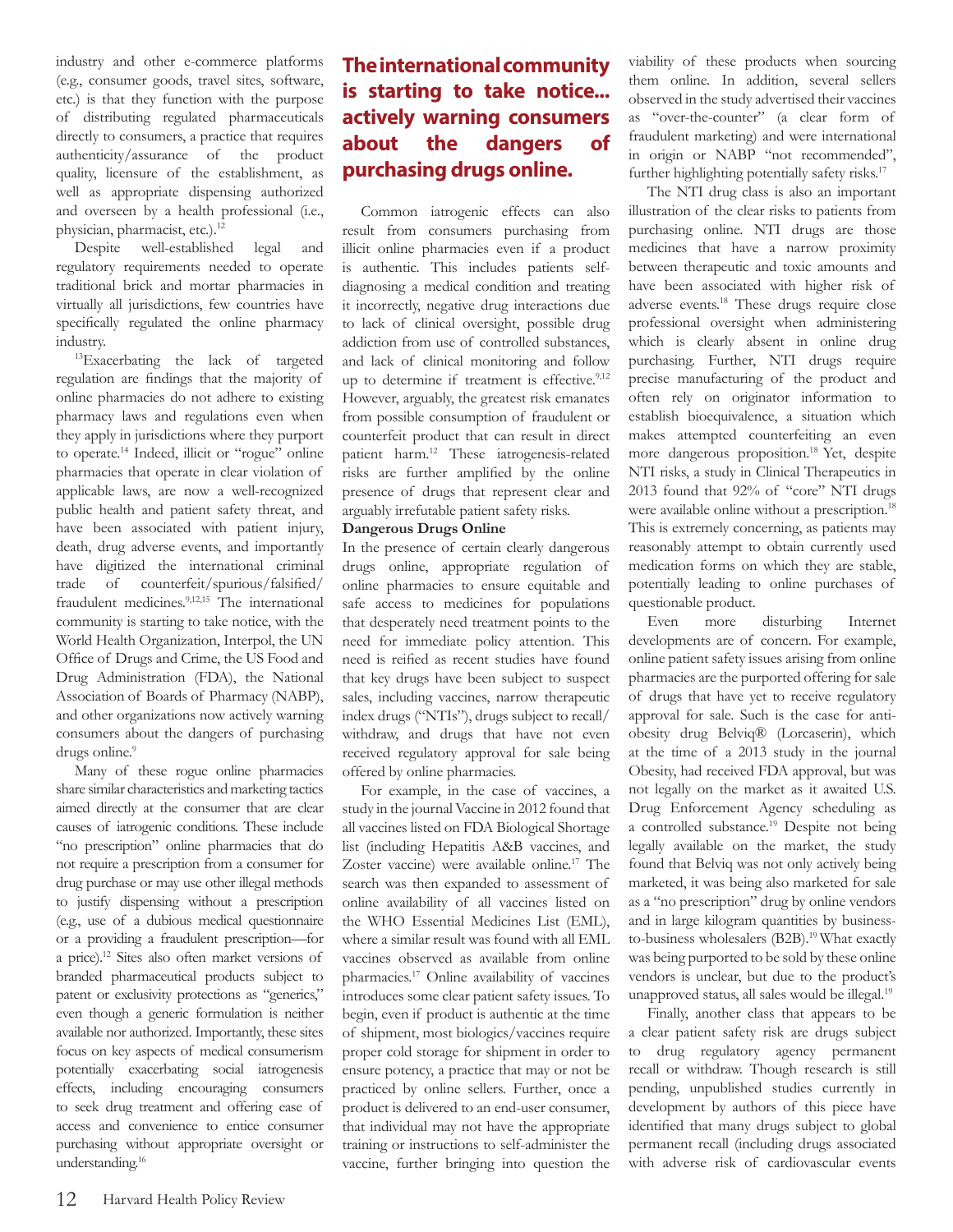industry and other e-commerce platforms (e.g., consumer goods, travel sites, software, etc.) is that they function with the purpose of distributing regulated pharmaceuticals directly to consumers, a practice that requires authenticity/assurance of the product quality, licensure of the establishment, as well as appropriate dispensing authorized and overseen by a health professional (i.e., physician, pharmacist, etc.).<sup>12</sup>

Despite well-established legal and regulatory requirements needed to operate traditional brick and mortar pharmacies in virtually all jurisdictions, few countries have specifically regulated the online pharmacy industry.

<sup>13</sup>Exacerbating the lack of targeted regulation are findings that the majority of online pharmacies do not adhere to existing pharmacy laws and regulations even when they apply in jurisdictions where they purport to operate.14 Indeed, illicit or "rogue" online pharmacies that operate in clear violation of applicable laws, are now a well-recognized public health and patient safety threat, and have been associated with patient injury, death, drug adverse events, and importantly have digitized the international criminal trade of counterfeit/spurious/falsified/ fraudulent medicines.9,12,15 The international community is starting to take notice, with the World Health Organization, Interpol, the UN Office of Drugs and Crime, the US Food and Drug Administration (FDA), the National Association of Boards of Pharmacy (NABP), and other organizations now actively warning consumers about the dangers of purchasing drugs online.<sup>9</sup>

Many of these rogue online pharmacies share similar characteristics and marketing tactics aimed directly at the consumer that are clear causes of iatrogenic conditions. These include "no prescription" online pharmacies that do not require a prescription from a consumer for drug purchase or may use other illegal methods to justify dispensing without a prescription (e.g., use of a dubious medical questionnaire or a providing a fraudulent prescription—for a price).<sup>12</sup> Sites also often market versions of branded pharmaceutical products subject to patent or exclusivity protections as "generics," even though a generic formulation is neither available nor authorized. Importantly, these sites focus on key aspects of medical consumerism potentially exacerbating social iatrogenesis effects, including encouraging consumers to seek drug treatment and offering ease of access and convenience to entice consumer purchasing without appropriate oversight or understanding.<sup>16</sup>

## **The international community is starting to take notice... actively warning consumers about the dangers of purchasing drugs online.**

Common iatrogenic effects can also result from consumers purchasing from illicit online pharmacies even if a product is authentic. This includes patients selfdiagnosing a medical condition and treating it incorrectly, negative drug interactions due to lack of clinical oversight, possible drug addiction from use of controlled substances, and lack of clinical monitoring and follow up to determine if treatment is effective.<sup>9,12</sup> However, arguably, the greatest risk emanates from possible consumption of fraudulent or counterfeit product that can result in direct patient harm.<sup>12</sup> These iatrogenesis-related risks are further amplified by the online presence of drugs that represent clear and arguably irrefutable patient safety risks.

#### **Dangerous Drugs Online**

In the presence of certain clearly dangerous drugs online, appropriate regulation of online pharmacies to ensure equitable and safe access to medicines for populations that desperately need treatment points to the need for immediate policy attention. This need is reified as recent studies have found that key drugs have been subject to suspect sales, including vaccines, narrow therapeutic index drugs ("NTIs"), drugs subject to recall/ withdraw, and drugs that have not even received regulatory approval for sale being offered by online pharmacies.

For example, in the case of vaccines, a study in the journal Vaccine in 2012 found that all vaccines listed on FDA Biological Shortage list (including Hepatitis A&B vaccines, and Zoster vaccine) were available online.<sup>17</sup> The search was then expanded to assessment of online availability of all vaccines listed on the WHO Essential Medicines List (EML), where a similar result was found with all EML vaccines observed as available from online pharmacies.<sup>17</sup> Online availability of vaccines introduces some clear patient safety issues. To begin, even if product is authentic at the time of shipment, most biologics/vaccines require proper cold storage for shipment in order to ensure potency, a practice that may or not be practiced by online sellers. Further, once a product is delivered to an end-user consumer, that individual may not have the appropriate training or instructions to self-administer the vaccine, further bringing into question the viability of these products when sourcing them online. In addition, several sellers observed in the study advertised their vaccines as "over-the-counter" (a clear form of fraudulent marketing) and were international in origin or NABP "not recommended", further highlighting potentially safety risks.<sup>17</sup>

The NTI drug class is also an important illustration of the clear risks to patients from purchasing online. NTI drugs are those medicines that have a narrow proximity between therapeutic and toxic amounts and have been associated with higher risk of adverse events.<sup>18</sup> These drugs require close professional oversight when administering which is clearly absent in online drug purchasing. Further, NTI drugs require precise manufacturing of the product and often rely on originator information to establish bioequivalence, a situation which makes attempted counterfeiting an even more dangerous proposition.<sup>18</sup>Yet, despite NTI risks, a study in Clinical Therapeutics in 2013 found that 92% of "core" NTI drugs were available online without a prescription.<sup>18</sup> This is extremely concerning, as patients may reasonably attempt to obtain currently used medication forms on which they are stable, potentially leading to online purchases of questionable product.

Even more disturbing Internet developments are of concern. For example, online patient safety issues arising from online pharmacies are the purported offering for sale of drugs that have yet to receive regulatory approval for sale. Such is the case for antiobesity drug Belviq® (Lorcaserin), which at the time of a 2013 study in the journal Obesity, had received FDA approval, but was not legally on the market as it awaited U.S. Drug Enforcement Agency scheduling as a controlled substance.<sup>19</sup> Despite not being legally available on the market, the study found that Belviq was not only actively being marketed, it was being also marketed for sale as a "no prescription" drug by online vendors and in large kilogram quantities by businessto-business wholesalers (B2B).<sup>19</sup> What exactly was being purported to be sold by these online vendors is unclear, but due to the product's unapproved status, all sales would be illegal.<sup>19</sup>

Finally, another class that appears to be a clear patient safety risk are drugs subject to drug regulatory agency permanent recall or withdraw. Though research is still pending, unpublished studies currently in development by authors of this piece have identified that many drugs subject to global permanent recall (including drugs associated with adverse risk of cardiovascular events